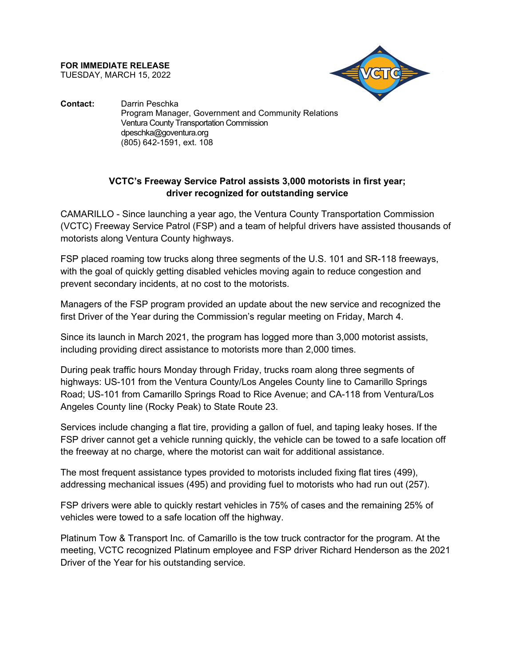**FOR IMMEDIATE RELEASE** TUESDAY, MARCH 15, 2022



**Contact:** Darrin Peschka Program Manager, Government and Community Relations Ventura County Transportation Commission dpeschka@goventura.org (805) 642-1591, ext. 108

## **VCTC's Freeway Service Patrol assists 3,000 motorists in first year; driver recognized for outstanding service**

CAMARILLO - Since launching a year ago, the Ventura County Transportation Commission (VCTC) Freeway Service Patrol (FSP) and a team of helpful drivers have assisted thousands of motorists along Ventura County highways.

FSP placed roaming tow trucks along three segments of the U.S. 101 and SR-118 freeways, with the goal of quickly getting disabled vehicles moving again to reduce congestion and prevent secondary incidents, at no cost to the motorists.

Managers of the FSP program provided an update about the new service and recognized the first Driver of the Year during the Commission's regular meeting on Friday, March 4.

Since its launch in March 2021, the program has logged more than 3,000 motorist assists, including providing direct assistance to motorists more than 2,000 times.

During peak traffic hours Monday through Friday, trucks roam along three segments of highways: US-101 from the Ventura County/Los Angeles County line to Camarillo Springs Road; US-101 from Camarillo Springs Road to Rice Avenue; and CA-118 from Ventura/Los Angeles County line (Rocky Peak) to State Route 23.

Services include changing a flat tire, providing a gallon of fuel, and taping leaky hoses. If the FSP driver cannot get a vehicle running quickly, the vehicle can be towed to a safe location off the freeway at no charge, where the motorist can wait for additional assistance.

The most frequent assistance types provided to motorists included fixing flat tires (499), addressing mechanical issues (495) and providing fuel to motorists who had run out (257).

FSP drivers were able to quickly restart vehicles in 75% of cases and the remaining 25% of vehicles were towed to a safe location off the highway.

Platinum Tow & Transport Inc. of Camarillo is the tow truck contractor for the program. At the meeting, VCTC recognized Platinum employee and FSP driver Richard Henderson as the 2021 Driver of the Year for his outstanding service.